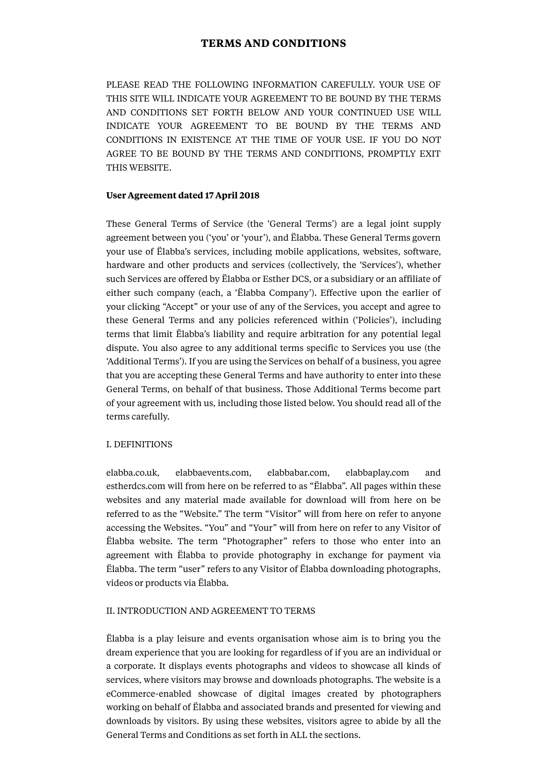# **TERMS AND CONDITIONS**

PLEASE READ THE FOLLOWING INFORMATION CAREFULLY. YOUR USE OF THIS SITE WILL INDICATE YOUR AGREEMENT TO BE BOUND BY THE TERMS AND CONDITIONS SET FORTH BELOW AND YOUR CONTINUED USE WILL INDICATE YOUR AGREEMENT TO BE BOUND BY THE TERMS AND CONDITIONS IN EXISTENCE AT THE TIME OF YOUR USE. IF YOU DO NOT AGREE TO BE BOUND BY THE TERMS AND CONDITIONS, PROMPTLY EXIT THIS WEBSITE.

### **User Agreement dated 17 April 2018**

These General Terms of Service (the 'General Terms') are a legal joint supply agreement between you ('you' or 'your'), and Ëlabba. These General Terms govern your use of Ëlabba's services, including mobile applications, websites, software, hardware and other products and services (collectively, the 'Services'), whether such Services are offered by Ëlabba or Esther DCS, or a subsidiary or an affiliate of either such company (each, a 'Ëlabba Company'). Effective upon the earlier of your clicking "Accept" or your use of any of the Services, you accept and agree to these General Terms and any policies referenced within ('Policies'), including terms that limit Ëlabba's liability and require arbitration for any potential legal dispute. You also agree to any additional terms specific to Services you use (the 'Additional Terms'). If you are using the Services on behalf of a business, you agree that you are accepting these General Terms and have authority to enter into these General Terms, on behalf of that business. Those Additional Terms become part of your agreement with us, including those listed below. You should read all of the terms carefully.

#### I. DEFINITIONS

elabba.co.uk, elabbaevents.com, elabbabar.com, elabbaplay.com and estherdcs.com will from here on be referred to as "Ëlabba". All pages within these websites and any material made available for download will from here on be referred to as the "Website." The term "Visitor" will from here on refer to anyone accessing the Websites. "You" and "Your" will from here on refer to any Visitor of Ëlabba website. The term "Photographer" refers to those who enter into an agreement with Ëlabba to provide photography in exchange for payment via Ëlabba. The term "user" refers to any Visitor of Ëlabba downloading photographs, videos or products via Ëlabba.

#### II. INTRODUCTION AND AGREEMENT TO TERMS

Ëlabba is a play leisure and events organisation whose aim is to bring you the dream experience that you are looking for regardless of if you are an individual or a corporate. It displays events photographs and videos to showcase all kinds of services, where visitors may browse and downloads photographs. The website is a eCommerce-enabled showcase of digital images created by photographers working on behalf of Ëlabba and associated brands and presented for viewing and downloads by visitors. By using these websites, visitors agree to abide by all the General Terms and Conditions as set forth in ALL the sections.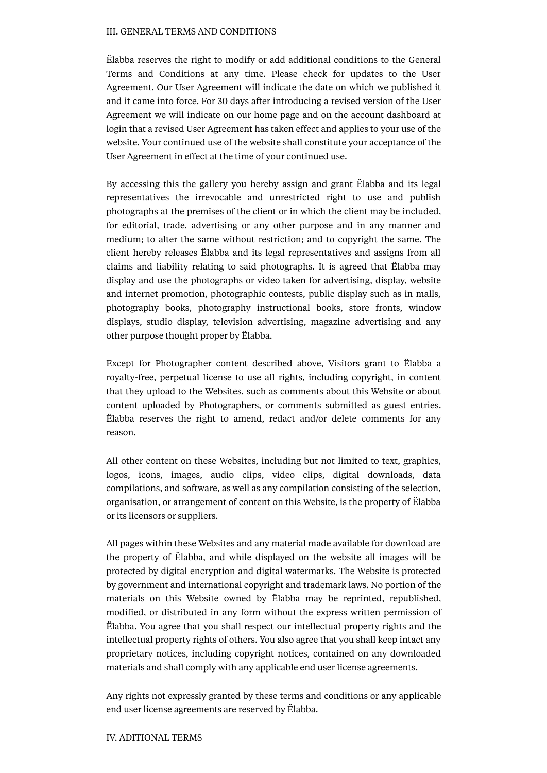#### III. GENERAL TERMS AND CONDITIONS

Ëlabba reserves the right to modify or add additional conditions to the General Terms and Conditions at any time. Please check for updates to the User Agreement. Our User Agreement will indicate the date on which we published it and it came into force. For 30 days after introducing a revised version of the User Agreement we will indicate on our home page and on the account dashboard at login that a revised User Agreement has taken effect and applies to your use of the website. Your continued use of the website shall constitute your acceptance of the User Agreement in effect at the time of your continued use.

By accessing this the gallery you hereby assign and grant Ëlabba and its legal representatives the irrevocable and unrestricted right to use and publish photographs at the premises of the client or in which the client may be included, for editorial, trade, advertising or any other purpose and in any manner and medium; to alter the same without restriction; and to copyright the same. The client hereby releases Ëlabba and its legal representatives and assigns from all claims and liability relating to said photographs. It is agreed that Ëlabba may display and use the photographs or video taken for advertising, display, website and internet promotion, photographic contests, public display such as in malls, photography books, photography instructional books, store fronts, window displays, studio display, television advertising, magazine advertising and any other purpose thought proper by Ëlabba.

Except for Photographer content described above, Visitors grant to Ëlabba a royalty-free, perpetual license to use all rights, including copyright, in content that they upload to the Websites, such as comments about this Website or about content uploaded by Photographers, or comments submitted as guest entries. Ëlabba reserves the right to amend, redact and/or delete comments for any reason.

All other content on these Websites, including but not limited to text, graphics, logos, icons, images, audio clips, video clips, digital downloads, data compilations, and software, as well as any compilation consisting of the selection, organisation, or arrangement of content on this Website, is the property of Ëlabba or its licensors or suppliers.

All pages within these Websites and any material made available for download are the property of Ëlabba, and while displayed on the website all images will be protected by digital encryption and digital watermarks. The Website is protected by government and international copyright and trademark laws. No portion of the materials on this Website owned by Ëlabba may be reprinted, republished, modified, or distributed in any form without the express written permission of Ëlabba. You agree that you shall respect our intellectual property rights and the intellectual property rights of others. You also agree that you shall keep intact any proprietary notices, including copyright notices, contained on any downloaded materials and shall comply with any applicable end user license agreements.

Any rights not expressly granted by these terms and conditions or any applicable end user license agreements are reserved by Ëlabba.